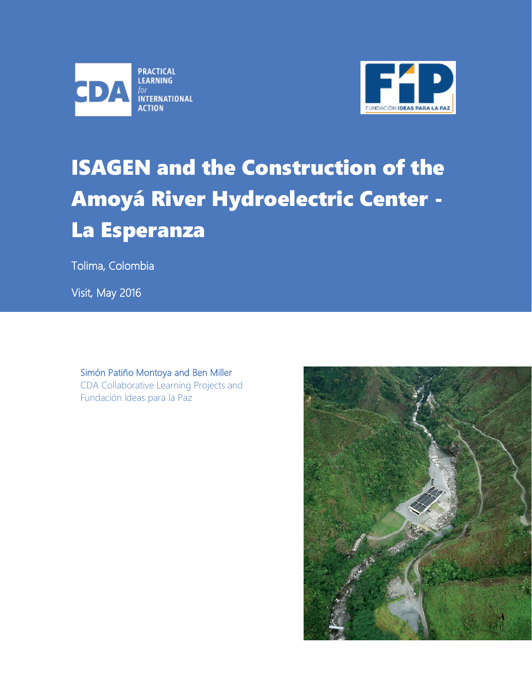



# ISAGEN and the Construction of the Amoyá River Hydroelectric Center - La Esperanza

Tolima, Colombia

Visit, May 2016

### Simón Patiño Montoya and Ben Miller CDA Collaborative Learning Projects and Fundación Ideas para la Paz

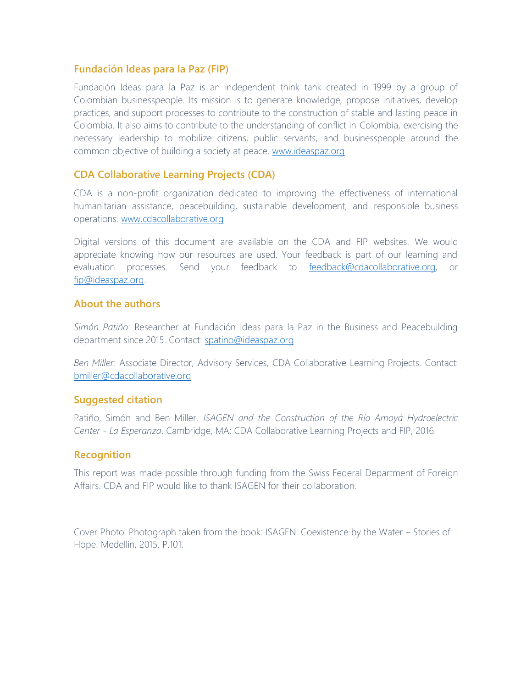### **Fundación Ideas para la Paz (FIP)**

Fundación Ideas para la Paz is an independent think tank created in 1999 by a group of Colombian businesspeople. Its mission is to generate knowledge, propose initiatives, develop practices, and support processes to contribute to the construction of stable and lasting peace in Colombia. It also aims to contribute to the understanding of conflict in Colombia, exercising the necessary leadership to mobilize citizens, public servants, and businesspeople around the common objective of building a society at peace. [www.ideaspaz.org](http://www.ideaspaz.org/)

### **CDA Collaborative Learning Projects (CDA)**

CDA is a non-profit organization dedicated to improving the effectiveness of international humanitarian assistance, peacebuilding, sustainable development, and responsible business operations. [www.cdacollaborative.org](http://cdacollaborative.org/?src=espub)

Digital versions of this document are available on the CDA and FIP websites. We would appreciate knowing how our resources are used. Your feedback is part of our learning and evaluation processes. Send your feedback to [feedback@cdacollaborative.org,](mailto:feedback@cdacollaborative.org) or [fip@ideaspaz.org.](mailto:fip@ideaspaz.org)

### **About the authors**

*Simón Patiño*: Researcher at Fundación Ideas para la Paz in the Business and Peacebuilding department since 2015. Contact: [spatino@ideaspaz.org](mailto:spatino@ideaspaz.org)

*Ben Miller*: Associate Director, Advisory Services, CDA Collaborative Learning Projects. Contact: bmiller@cdacollaborative.org

### **Suggested citation**

Patiño, Simón and Ben Miller*. ISAGEN and the Construction of the Río Amoyá Hydroelectric Center - La Esperanza*. Cambridge, MA: CDA Collaborative Learning Projects and FIP, 2016.

### **Recognition**

This report was made possible through funding from the Swiss Federal Department of Foreign Affairs. CDA and FIP would like to thank ISAGEN for their collaboration.

Cover Photo: Photograph taken from the book: ISAGEN: Coexistence by the Water – Stories of Hope. Medellín, 2015. P.101.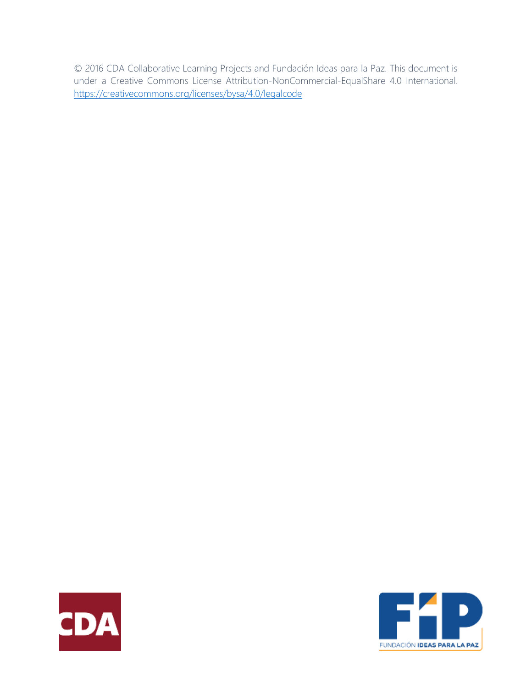© 2016 CDA Collaborative Learning Projects and Fundación Ideas para la Paz. This document is under a Creative Commons License Attribution-NonCommercial-EqualShare 4.0 International. <https://creativecommons.org/licenses/bysa/4.0/legalcode>



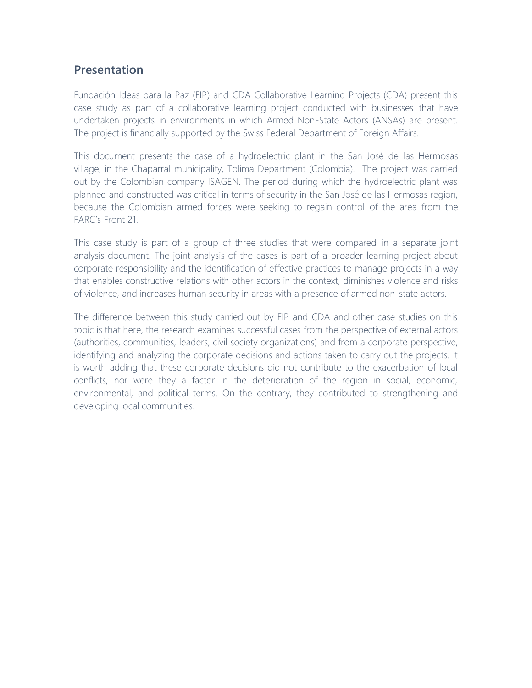### **Presentation**

Fundación Ideas para la Paz (FIP) and CDA Collaborative Learning Projects (CDA) present this case study as part of a collaborative learning project conducted with businesses that have undertaken projects in environments in which Armed Non-State Actors (ANSAs) are present. The project is financially supported by the Swiss Federal Department of Foreign Affairs.

This document presents the case of a hydroelectric plant in the San José de las Hermosas village, in the Chaparral municipality, Tolima Department (Colombia). The project was carried out by the Colombian company ISAGEN. The period during which the hydroelectric plant was planned and constructed was critical in terms of security in the San José de las Hermosas region, because the Colombian armed forces were seeking to regain control of the area from the FARC's Front 21.

This case study is part of a group of three studies that were compared in a separate joint analysis document. The joint analysis of the cases is part of a broader learning project about corporate responsibility and the identification of effective practices to manage projects in a way that enables constructive relations with other actors in the context, diminishes violence and risks of violence, and increases human security in areas with a presence of armed non-state actors.

The difference between this study carried out by FIP and CDA and other case studies on this topic is that here, the research examines successful cases from the perspective of external actors (authorities, communities, leaders, civil society organizations) and from a corporate perspective, identifying and analyzing the corporate decisions and actions taken to carry out the projects. It is worth adding that these corporate decisions did not contribute to the exacerbation of local conflicts, nor were they a factor in the deterioration of the region in social, economic, environmental, and political terms. On the contrary, they contributed to strengthening and developing local communities.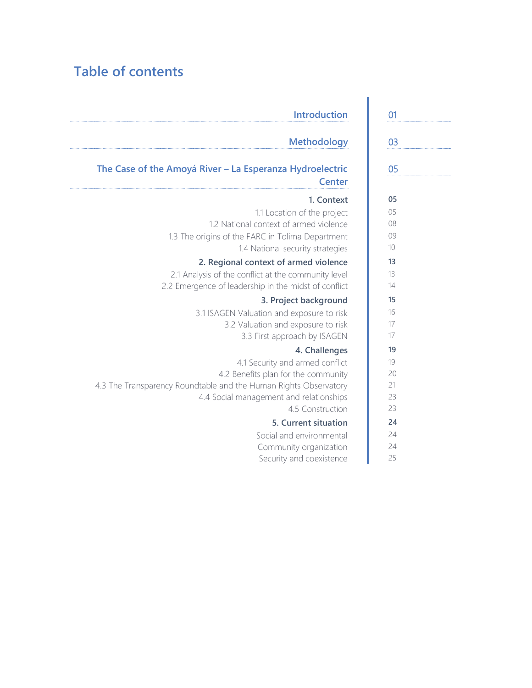# **Table of contents**

| 01 | <b>Introduction</b>                                              |
|----|------------------------------------------------------------------|
| 03 | <b>Methodology</b>                                               |
| 05 | The Case of the Amoyá River - La Esperanza Hydroelectric         |
|    | <b>Center</b>                                                    |
| 05 | 1. Context                                                       |
| 05 | 1.1 Location of the project                                      |
| 08 | 1.2 National context of armed violence                           |
| 09 | 1.3 The origins of the FARC in Tolima Department                 |
| 10 | 1.4 National security strategies                                 |
| 13 | 2. Regional context of armed violence                            |
| 13 | 2.1 Analysis of the conflict at the community level              |
| 14 | 2.2 Emergence of leadership in the midst of conflict             |
| 15 | 3. Project background                                            |
| 16 | 3.1 ISAGEN Valuation and exposure to risk                        |
| 17 | 3.2 Valuation and exposure to risk                               |
| 17 | 3.3 First approach by ISAGEN                                     |
| 19 | 4. Challenges                                                    |
| 19 | 4.1 Security and armed conflict                                  |
| 20 | 4.2 Benefits plan for the community                              |
| 21 | 4.3 The Transparency Roundtable and the Human Rights Observatory |
| 23 | 4.4 Social management and relationships                          |
| 23 | 4.5 Construction                                                 |
| 24 | 5. Current situation                                             |
| 24 | Social and environmental                                         |
| 24 | Community organization                                           |
| 25 | Security and coexistence                                         |

| 01              |
|-----------------|
|                 |
| 03              |
|                 |
| 05              |
|                 |
| 05              |
| 05              |
| 08              |
| 09              |
| 10              |
| 13              |
| 13              |
| $\overline{14}$ |
| 15              |
| 16              |
| 17              |
| 17              |
| 19              |
| 19              |
| 20              |
| 21              |
| 23              |
| 23              |
| 24              |
| 24              |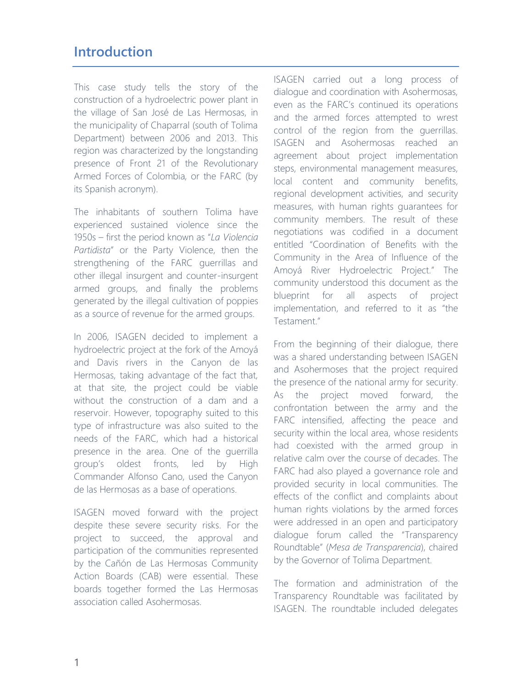# **Introduction**

This case study tells the story of the construction of a hydroelectric power plant in the village of San José de Las Hermosas, in the municipality of Chaparral (south of Tolima Department) between 2006 and 2013. This region was characterized by the longstanding presence of Front 21 of the Revolutionary Armed Forces of Colombia, or the FARC (by its Spanish acronym).

The inhabitants of southern Tolima have experienced sustained violence since the 1950s – first the period known as "*La Violencia Partidista*" or the Party Violence, then the strengthening of the FARC guerrillas and other illegal insurgent and counter-insurgent armed groups, and finally the problems generated by the illegal cultivation of poppies as a source of revenue for the armed groups.

In 2006, ISAGEN decided to implement a hydroelectric project at the fork of the Amoyá and Davis rivers in the Canyon de las Hermosas, taking advantage of the fact that, at that site, the project could be viable without the construction of a dam and a reservoir. However, topography suited to this type of infrastructure was also suited to the needs of the FARC, which had a historical presence in the area. One of the guerrilla group's oldest fronts, led by High Commander Alfonso Cano, used the Canyon de las Hermosas as a base of operations.

ISAGEN moved forward with the project despite these severe security risks. For the project to succeed, the approval and participation of the communities represented by the Cañón de Las Hermosas Community Action Boards (CAB) were essential. These boards together formed the Las Hermosas association called Asohermosas.

ISAGEN carried out a long process of dialogue and coordination with Asohermosas, even as the FARC's continued its operations and the armed forces attempted to wrest control of the region from the guerrillas. ISAGEN and Asohermosas reached an agreement about project implementation steps, environmental management measures, local content and community benefits, regional development activities, and security measures, with human rights guarantees for community members. The result of these negotiations was codified in a document entitled "Coordination of Benefits with the Community in the Area of Influence of the Amoyá River Hydroelectric Project." The community understood this document as the blueprint for all aspects of project implementation, and referred to it as "the Testament."

From the beginning of their dialogue, there was a shared understanding between ISAGEN and Asohermoses that the project required the presence of the national army for security. As the project moved forward, the confrontation between the army and the FARC intensified, affecting the peace and security within the local area, whose residents had coexisted with the armed group in relative calm over the course of decades. The FARC had also played a governance role and provided security in local communities. The effects of the conflict and complaints about human rights violations by the armed forces were addressed in an open and participatory dialogue forum called the "Transparency Roundtable" (*Mesa de Transparencia*), chaired by the Governor of Tolima Department.

The formation and administration of the Transparency Roundtable was facilitated by ISAGEN. The roundtable included delegates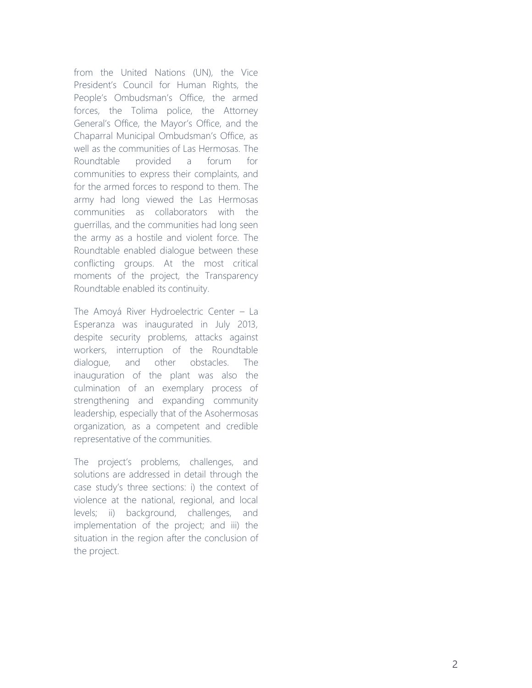from the United Nations (UN), the Vice President's Council for Human Rights, the People's Ombudsman's Office, the armed forces, the Tolima police, the Attorney General's Office, the Mayor's Office, and the Chaparral Municipal Ombudsman's Office, as well as the communities of Las Hermosas. The Roundtable provided a forum for communities to express their complaints, and for the armed forces to respond to them. The army had long viewed the Las Hermosas communities as collaborators with the guerrillas, and the communities had long seen the army as a hostile and violent force. The Roundtable enabled dialogue between these conflicting groups. At the most critical moments of the project, the Transparency Roundtable enabled its continuity.

The Amoyá River Hydroelectric Center – La Esperanza was inaugurated in July 2013, despite security problems, attacks against workers, interruption of the Roundtable dialogue, and other obstacles. The inauguration of the plant was also the culmination of an exemplary process of strengthening and expanding community leadership, especially that of the Asohermosas organization , as a competent and credible

representative of the communities.<br>The project's problems, challenges, and solutions are addressed in detail through the case study's three sections: i) the context of violence at the national, regional, and local levels; ii) background, challenges, and implementation of the project; and iii) the situation in the region after the conclusion of the project.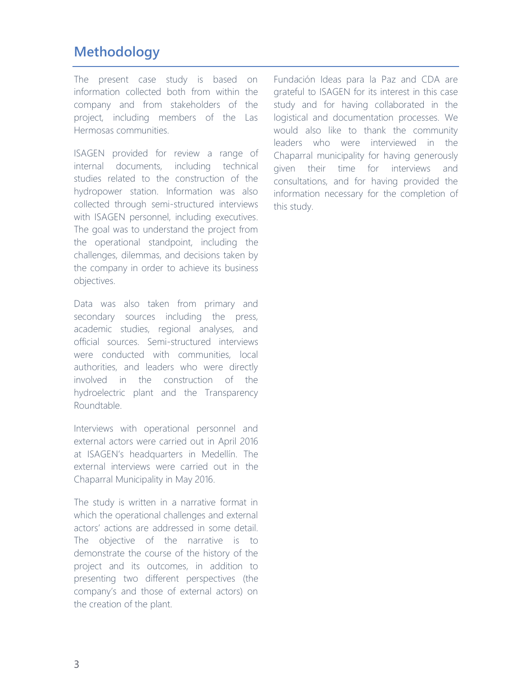# **Methodology**

The present case study is based on information collected both from within the company and from stakeholders of the project, including members of the Las Hermosas communities.

ISAGEN provided for review a range of internal documents, including technical studies related to the construction of the hydropower station. Information was also collected through semi-structured interviews with ISAGEN personnel, including executives. The goal was to understand the project from the operational standpoint, including the challenges, dilemmas, and decisions taken by the company in order to achieve its business objectives.

Data was also taken from primary and secondary sources including the press, academic studies, regional analyses, and official sources. Semi-structured interviews were conducted with communities, local authorities, and leaders who were directly involved in the construction of the hydroelectric plant and the Transparency Roundtable.

Interviews with operational personnel and external actors were carried out in April 2016 at ISAGEN's headquarters in Medellín. The external interviews were carried out in the Chaparral Municipality in May 2016.

The study is written in a narrative format in which the operational challenges and external actors' actions are addressed in some detail. The objective of the narrative is to demonstrate the course of the history of the project and its outcomes, in addition to presenting two different perspectives (the company's and those of external actors) on the creation of the plant.

Fundación Ideas para la Paz and CDA are grateful to ISAGEN for its interest in this case study and for having collaborated in the logistical and documentation processes. We would also like to thank the community leaders who were interviewed in the Chaparral municipality for having generously given their time for interviews and consultations, and for having provided the information necessary for the completion of this study.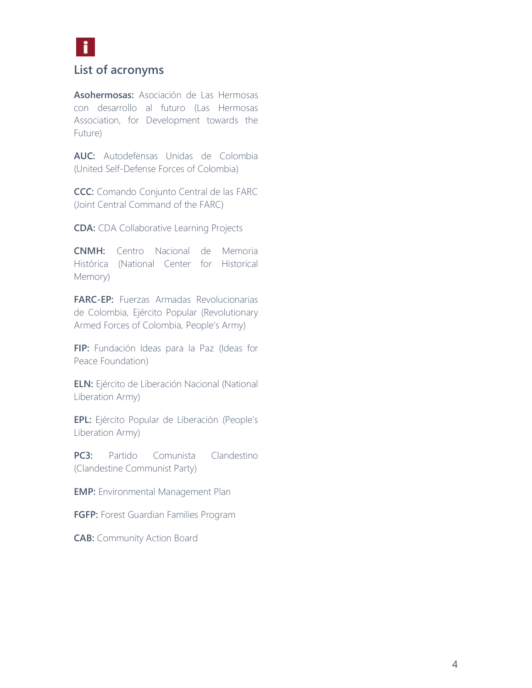

### **List of acronyms**

**Asohermosas:** Asociación de Las Hermosas con desarrollo al futuro (Las Hermosas Association, for Development towards the Future)

**AUC:** Autodefensas Unidas de Colombia (United Self-Defense Forces of Colombia)

**CCC:** Comando Conjunto Central de las FARC (Joint Central Command of the FARC)

**CDA:** CDA Collaborative Learning Projects

**CNMH:** Centro Nacional de Memoria Histórica (National Center for Historical Memory)

**FARC-EP:** Fuerzas Armadas Revolucionarias de Colombia, Ejército Popular (Revolutionary Armed Forces of Colombia, People's Army)

**FIP:** Fundación Ideas para la Paz (Ideas for Peace Foundation)

**ELN:** Ejército de Liberación Nacional (National Liberation Army)

**EPL:** Ejército Popular de Liberación (People's Liberation Army)

**PC3:** Partido Comunista Clandestino (Clandestine Communist Party)

**EMP:** Environmental Management Plan

**FGFP:** Forest Guardian Families Program

**CAB:** Community Action Board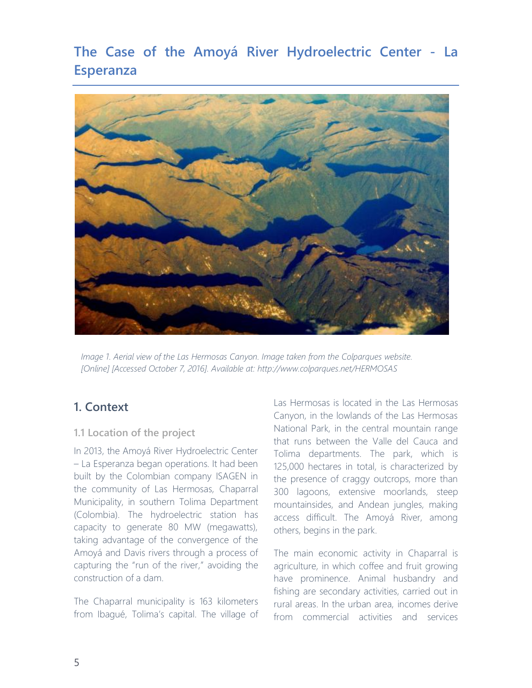# **The Case of the Amoyá River Hydroelectric Center - La Esperanza**



*Image 1. Aerial view of the Las Hermosas Canyon. Image taken from the Colparques website. [Online] [Accessed October 7, 2016]. Available at: http://www.colparques.net/HERMOSAS*

### **1. Context**

### **1.1 Location of the project**

In 2013, the Amoyá River Hydroelectric Center – La Esperanza began operations. It had been built by the Colombian company ISAGEN in the community of Las Hermosas, Chaparral Municipality, in southern Tolima Department (Colombia). The hydroelectric station has capacity to generate 80 MW (megawatts), taking advantage of the convergence of the Amoyá and Davis rivers through a process of capturing the "run of the river," avoiding the construction of a dam.

The Chaparral municipality is 163 kilometers from Ibagué, Tolima's capital. The village of Las Hermosas is located in the Las Hermosas Canyon, in the lowlands of the Las Hermosas National Park, in the central mountain range that runs between the Valle del Cauca and Tolima departments. The park, which is 125,000 hectares in total, is characterized by the presence of craggy outcrops, more than 300 lagoons, extensive moorlands, steep mountainsides, and Andean jungles, making access difficult. The Amoyá River, among others, begins in the park.

The main economic activity in Chaparral is agriculture, in which coffee and fruit growing have prominence. Animal husbandry and fishing are secondary activities, carried out in rural areas. In the urban area, incomes derive from commercial activities and services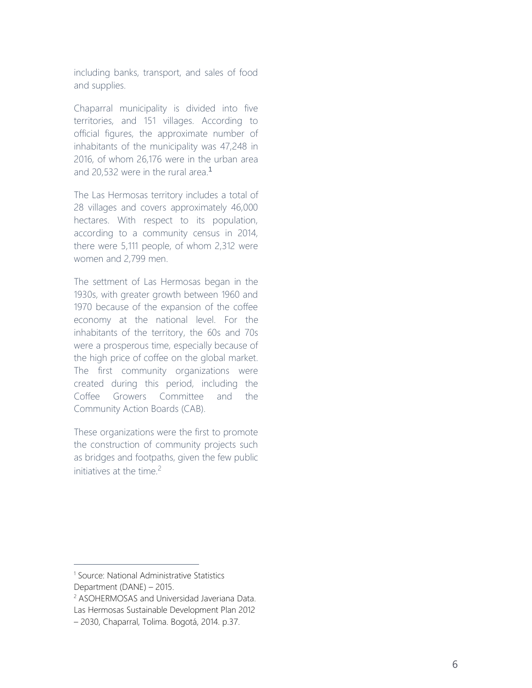including banks, transport, and sales of food and supplies.

Chaparral municipality is divided into five territories, and 151 villages. According to official figures, the approximate number of inhabitants of the municipality was 47,248 in 2016, of whom 26,176 were in the urban area and 20,532 were in the rural area. 1

The Las Hermosas territory includes a total of 28 villages and covers approximately 46,000 hectares. With respect to its population, according to a community census in 2014, there were 5,111 people, of whom 2,312 were women and 2,799 men.

The settment of Las Hermosas began in the 1930s, with greater growth between 1960 and 1970 because of the expansion of the coffee economy at the national level. For the inhabitants of the territory, the 60s and 70s were a prosperous time, especially because of the high price of coffee on the global market. The first community organizations were created during this period, including the Coffee Growers Committee and the Community Action Boards (CAB).

These organizations were the first to promote the construction of community projects such as bridges and footpaths, given the few public initiatives at the time. 2

<sup>&</sup>lt;sup>1</sup> Source: National Administrative Statistics Department (DANE) – 2015.

<sup>2</sup> ASOHERMOSAS and Universidad Javeriana Data. Las Hermosas Sustainable Development Plan 2012 – 2030, Chaparral, Tolima. Bogotá, 2014. p.37.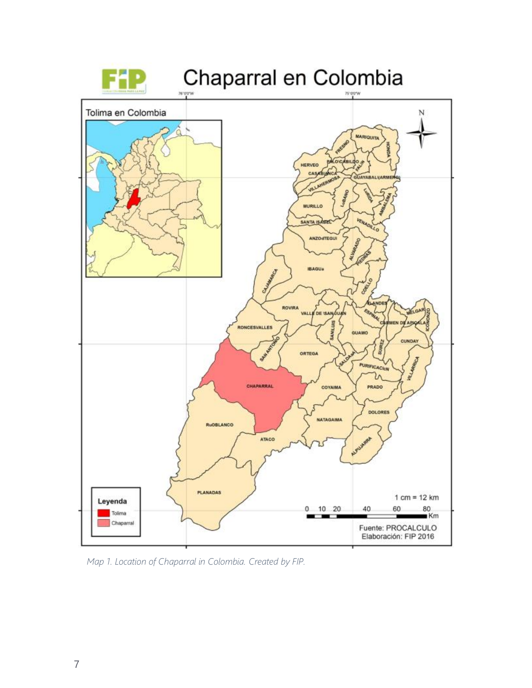

*Map 1. Location of Chaparral in Colombia. Created by FIP.*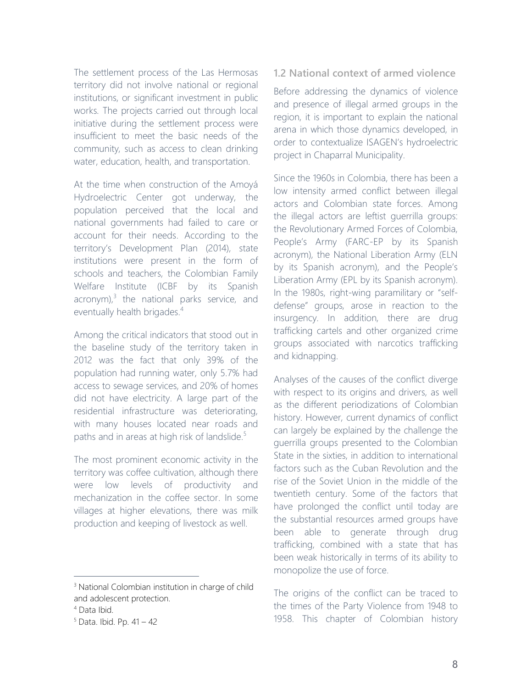The settlement process of the Las Hermosas territory did not involve national or regional institutions, or significant investment in public works. The projects carried out through local initiative during the settlement process were insufficient to meet the basic needs of the community, such as access to clean drinking water, education, health, and transportation.

At the time when construction of the Amoyá Hydroelectric Center got underway, the population perceived that the local and national governments had failed to care or account for their needs. According to the territory's Development Plan (2014), state institutions were present in the form of schools and teachers, the Colombian Family Welfare Institute (ICBF by its Spanish  $acronym)<sup>3</sup>$  the national parks service, and eventually health brigades.<sup>4</sup>

Among the critical indicators that stood out in the baseline study of the territory taken in 2012 was the fact that only 39% of the population had running water, only 5.7% had access to sewage services, and 20% of homes did not have electricity. A large part of the residential infrastructure was deteriorating, with many houses located near roads and paths and in areas at high risk of landslide.<sup>5</sup>

The most prominent economic activity in the territory was coffee cultivation, although there were low levels of productivity and mechanization in the coffee sector. In some villages at higher elevations, there was milk production and keeping of livestock as well.

 $\overline{a}$ 

### **1.2 National context of armed violence**

Before addressing the dynamics of violence and presence of illegal armed groups in the region, it is important to explain the national arena in which those dynamics developed, in order to contextualize ISAGEN's hydroelectric project in Chaparral Municipality.

Since the 1960s in Colombia, there has been a low intensity armed conflict between illegal actors and Colombian state forces. Among the illegal actors are leftist guerrilla groups: the Revolutionary Armed Forces of Colombia, People's Army (FARC-EP by its Spanish acronym), the National Liberation Army (ELN by its Spanish acronym), and the People's Liberation Army (EPL by its Spanish acronym). In the 1980s, right-wing paramilitary or "selfdefense" groups, arose in reaction to the insurgency. In addition, there are drug trafficking cartels and other organized crime groups associated with narcotics trafficking and kidnapping.

Analyses of the causes of the conflict diverge with respect to its origins and drivers, as well as the different periodizations of Colombian history. However, current dynamics of conflict can largely be explained by the challenge the guerrilla groups presented to the Colombian State in the sixties, in addition to international factors such as the Cuban Revolution and the rise of the Soviet Union in the middle of the twentieth century. Some of the factors that have prolonged the conflict until today are the substantial resources armed groups have been able to generate through drug trafficking, combined with a state that has been weak historically in terms of its ability to monopolize the use of force.

The origins of the conflict can be traced to the times of the Party Violence from 1948 to 1958. This chapter of Colombian history

<sup>&</sup>lt;sup>3</sup> National Colombian institution in charge of child and adolescent protection.

<sup>4</sup> Data Ibid.

<sup>5</sup> Data. Ibid. Pp. 41 – 42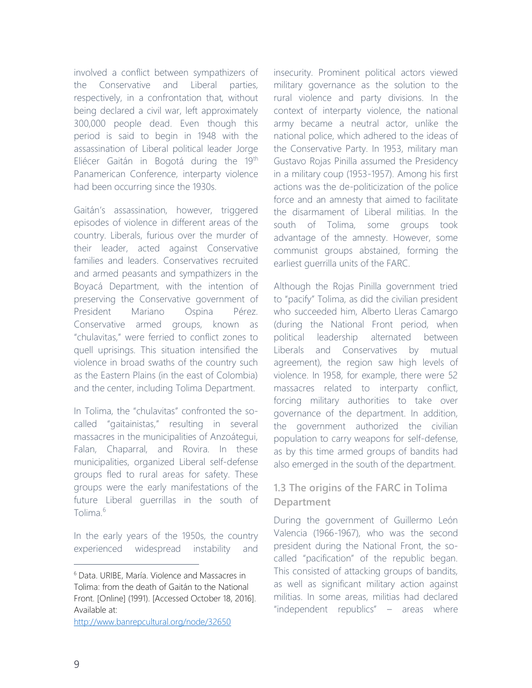involved a conflict between sympathizers of the Conservative and Liberal parties, respectively, in a confrontation that, without being declared a civil war, left approximately 300,000 people dead. Even though this period is said to begin in 1948 with the assassination of Liberal political leader Jorge Eliécer Gaitán in Bogotá during the 19<sup>th</sup> Panamerican Conference, interparty violence had been occurring since the 1930s.

Gaitán's assassination, however, triggered episodes of violence in different areas of the country. Liberals, furious over the murder of their leader, acted against Conservative families and leaders. Conservatives recruited and armed peasants and sympathizers in the Boyacá Department, with the intention of preserving the Conservative government of President Mariano Ospina Pérez. Conservative armed groups, known as "chulavitas," were ferried to conflict zones to quell uprisings. This situation intensified the violence in broad swaths of the country such as the Eastern Plains (in the east of Colombia) and the center, including Tolima Department.

In Tolima, the "chulavitas" confronted the socalled "gaitainistas," resulting in several massacres in the municipalities of Anzoátegui, Falan, Chaparral, and Rovira. In these municipalities, organized Liberal self-defense groups fled to rural areas for safety. These groups were the early manifestations of the future Liberal guerrillas in the south of Tolima<sup>6</sup>

In the early years of the 1950s, the country experienced widespread instability and

<http://www.banrepcultural.org/node/32650>

insecurity. Prominent political actors viewed military governance as the solution to the rural violence and party divisions. In the context of interparty violence, the national army became a neutral actor, unlike the national police, which adhered to the ideas of the Conservative Party. In 1953, military man Gustavo Rojas Pinilla assumed the Presidency in a military coup (1953-1957). Among his first actions was the de-politicization of the police force and an amnesty that aimed to facilitate the disarmament of Liberal militias. In the south of Tolima, some groups took advantage of the amnesty. However, some communist groups abstained, forming the earliest guerrilla units of the FARC.

Although the Rojas Pinilla government tried to "pacify" Tolima, as did the civilian president who succeeded him, Alberto Lleras Camargo (during the National Front period, when political leadership alternated between Liberals and Conservatives by mutual agreement), the region saw high levels of violence. In 1958, for example, there were 52 massacres related to interparty conflict, forcing military authorities to take over governance of the department. In addition, the government authorized the civilian population to carry weapons for self-defense, as by this time armed groups of bandits had also emerged in the south of the department.

### **1.3 The origins of the FARC in Tolima Department**

During the government of Guillermo León Valencia (1966-1967), who was the second president during the National Front, the socalled "pacification" of the republic began. This consisted of attacking groups of bandits, as well as significant military action against militias. In some areas, militias had declared "independent republics" – areas where

<sup>6</sup> Data. URIBE, María. Violence and Massacres in Tolima: from the death of Gaitán to the National Front. [Online] (1991). [Accessed October 18, 2016]. Available at: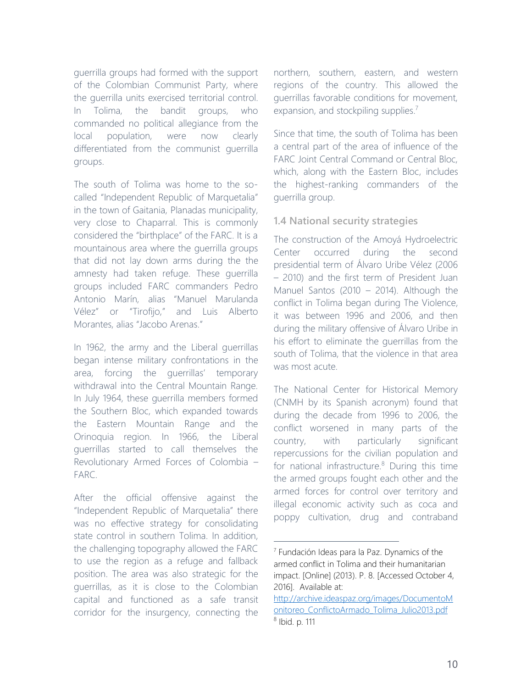guerrilla groups had formed with the support of the Colombian Communist Party, where the guerrilla units exercised territorial control. In Tolima, the bandit groups, who commanded no political allegiance from the local population, were now clearly differentiated from the communist guerrilla groups.

The south of Tolima was home to the socalled "Independent Republic of Marquetalia" in the town of Gaitania, Planadas municipality, very close to Chaparral. This is commonly considered the "birthplace" of the FARC. It is a mountainous area where the guerrilla groups that did not lay down arms during the the amnesty had taken refuge. These guerrilla groups included FARC commanders Pedro Antonio Marín, alias "Manuel Marulanda Vélez" or "Tirofijo," and Luis Alberto Morantes, alias "Jacobo Arenas."

In 1962, the army and the Liberal guerrillas began intense military confrontations in the area, forcing the guerrillas' temporary withdrawal into the Central Mountain Range. In July 1964, these guerrilla members formed the Southern Bloc, which expanded towards the Eastern Mountain Range and the Orinoquia region. In 1966, the Liberal guerrillas started to call themselves the Revolutionary Armed Forces of Colombia – FARC.

After the official offensive against the "Independent Republic of Marquetalia" there was no effective strategy for consolidating state control in southern Tolima. In addition, the challenging topography allowed the FARC to use the region as a refuge and fallback position. The area was also strategic for the guerrillas, as it is close to the Colombian capital and functioned as a safe transit corridor for the insurgency, connecting the

northern, southern, eastern, and western regions of the country. This allowed the guerrillas favorable conditions for movement, expansion, and stockpiling supplies.<sup>7</sup>

Since that time, the south of Tolima has been a central part of the area of influence of the FARC Joint Central Command or Central Bloc, which, along with the Eastern Bloc, includes the highest-ranking commanders of the guerrilla group.

### **1.4 National security strategies**

The construction of the Amoyá Hydroelectric Center occurred during the second presidential term of Álvaro Uribe Vélez (2006 – 2010) and the first term of President Juan Manuel Santos (2010 – 2014). Although the conflict in Tolima began during The Violence, it was between 1996 and 2006, and then during the military offensive of Álvaro Uribe in his effort to eliminate the guerrillas from the south of Tolima, that the violence in that area was most acute.

The National Center for Historical Memory (CNMH by its Spanish acronym) found that during the decade from 1996 to 2006, the conflict worsened in many parts of the country, with particularly significant repercussions for the civilian population and for national infrastructure. $8$  During this time the armed groups fought each other and the armed forces for control over territory and illegal economic activity such as coca and poppy cultivation, drug and contraband

<sup>7</sup> Fundación Ideas para la Paz. Dynamics of the armed conflict in Tolima and their humanitarian impact. [Online] (2013). P. 8. [Accessed October 4, 2016]. Available at:

[http://archive.ideaspaz.org/images/DocumentoM](http://archive.ideaspaz.org/images/DocumentoMonitoreo_ConflictoArmado_Tolima_Julio2013.pdf) [onitoreo\\_ConflictoArmado\\_Tolima\\_Julio2013.pdf](http://archive.ideaspaz.org/images/DocumentoMonitoreo_ConflictoArmado_Tolima_Julio2013.pdf) 8 Ibid. p. 111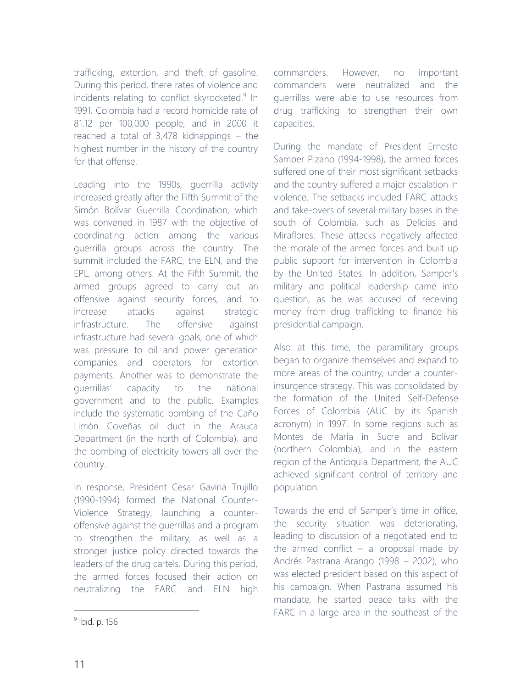trafficking, extortion, and theft of gasoline. During this period, there rates of violence and incidents relating to conflict skyrocketed.<sup>9</sup> In 1991, Colombia had a record homicide rate of 81.12 per 100,000 people, and in 2000 it reached a total of 3,478 kidnappings – the highest number in the history of the country for that offense.

Leading into the 1990s, guerrilla activity increased greatly after the Fifth Summit of the Simón Bolívar Guerrilla Coordination, which was convened in 1987 with the objective of coordinating action among the various guerrilla groups across the country. The summit included the FARC, the ELN, and the EPL, among others. At the Fifth Summit, the armed groups agreed to carry out an offensive against security forces, and to increase attacks against strategic infrastructure. The offensive against infrastructure had several goals, one of which was pressure to oil and power generation companies and operators for extortion payments. Another was to demonstrate the guerrillas' capacity to the national government and to the public. Examples include the systematic bombing of the Caño Limón Coveñas oil duct in the Arauca Department (in the north of Colombia), and the bombing of electricity towers all over the country.

In response, President Cesar Gaviria Trujillo (1990-1994) formed the National Counter-Violence Strategy, launching a counteroffensive against the guerrillas and a program to strengthen the military, as well as a stronger justice policy directed towards the leaders of the drug cartels. During this period, the armed forces focused their action on neutralizing the FARC and ELN high

commanders. However, no important commanders were neutralized and the guerrillas were able to use resources from drug trafficking to strengthen their own capacities.

During the mandate of President Ernesto Samper Pizano (1994-1998), the armed forces suffered one of their most significant setbacks and the country suffered a major escalation in violence. The setbacks included FARC attacks and take-overs of several military bases in the south of Colombia, such as Delicias and Miraflores. These attacks negatively affected the morale of the armed forces and built up public support for intervention in Colombia by the United States. In addition, Samper's military and political leadership came into question, as he was accused of receiving money from drug trafficking to finance his presidential campaign.

Also at this time, the paramilitary groups began to organize themselves and expand to more areas of the country, under a counterinsurgence strategy. This was consolidated by the formation of the United Self-Defense Forces of Colombia (AUC by its Spanish acronym) in 1997. In some regions such as Montes de María in Sucre and Bolívar (northern Colombia), and in the eastern region of the Antioquia Department, the AUC achieved significant control of territory and population.

Towards the end of Samper's time in office, the security situation was deteriorating, leading to discussion of a negotiated end to the armed conflict  $-$  a proposal made by Andrés Pastrana Arango (1998 – 2002), who was elected president based on this aspect of his campaign. When Pastrana assumed his mandate, he started peace talks with the FARC in a large area in the southeast of the

<sup>&</sup>lt;sup>9</sup> Ibid. p. 156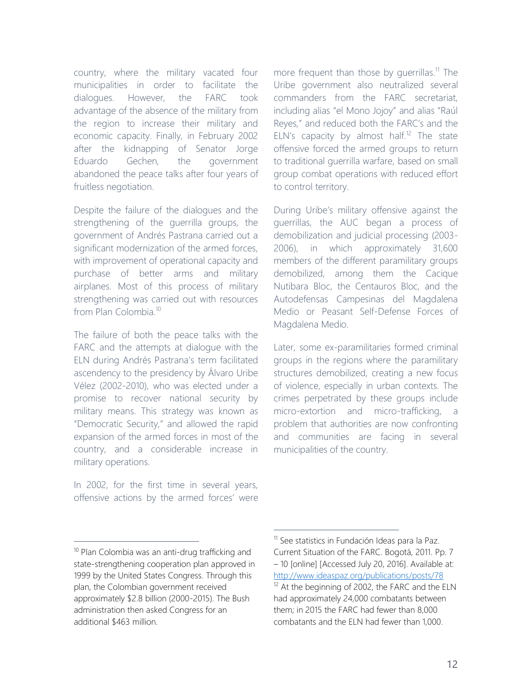country, where the military vacated four municipalities in order to facilitate the dialogues. However, the FARC took advantage of the absence of the military from the region to increase their military and economic capacity. Finally, in February 2002 after the kidnapping of Senator Jorge Eduardo Gechen, the government abandoned the peace talks after four years of fruitless negotiation.

Despite the failure of the dialogues and the strengthening of the guerrilla groups, the government of Andrés Pastrana carried out a significant modernization of the armed forces, with improvement of operational capacity and purchase of better arms and military airplanes. Most of this process of military strengthening was carried out with resources from Plan Colombia.<sup>10</sup>

The failure of both the peace talks with the FARC and the attempts at dialogue with the ELN during Andrés Pastrana's term facilitated ascendency to the presidency by Álvaro Uribe Vélez (2002-2010), who was elected under a promise to recover national security by military means. This strategy was known as "Democratic Security," and allowed the rapid expansion of the armed forces in most of the country, and a considerable increase in military operations.

In 2002, for the first time in several years, offensive actions by the armed forces' were

more frequent than those by guerrillas.<sup>11</sup> The Uribe government also neutralized several commanders from the FARC secretariat, including alias "el Mono Jojoy" and alias "Raúl Reyes," and reduced both the FARC's and the ELN's capacity by almost half.<sup>12</sup> The state offensive forced the armed groups to return to traditional guerrilla warfare, based on small group combat operations with reduced effort to control territory.

During Uribe's military offensive against the guerrillas, the AUC began a process of demobilization and judicial processing (2003- 2006), in which approximately 31,600 members of the different paramilitary groups demobilized, among them the Cacique Nutibara Bloc, the Centauros Bloc, and the Autodefensas Campesinas del Magdalena Medio or Peasant Self-Defense Forces of Magdalena Medio.

Later, some ex-paramilitaries formed criminal groups in the regions where the paramilitary structures demobilized, creating a new focus of violence, especially in urban contexts. The crimes perpetrated by these groups include micro-extortion and micro-trafficking, a problem that authorities are now confronting and communities are facing in several municipalities of the country.

 $\overline{a}$ 

<sup>&</sup>lt;sup>10</sup> Plan Colombia was an anti-drug trafficking and state-strengthening cooperation plan approved in 1999 by the United States Congress. Through this plan, the Colombian government received approximately \$2.8 billion (2000-2015). The Bush administration then asked Congress for an additional \$463 million.

<sup>&</sup>lt;sup>11</sup> See statistics in Fundación Ideas para la Paz. Current Situation of the FARC. Bogotá, 2011. Pp. 7 – 10 [online] [Accessed July 20, 2016]. Available at: <http://www.ideaspaz.org/publications/posts/78>

<sup>&</sup>lt;sup>12</sup> At the beginning of 2002, the FARC and the ELN had approximately 24,000 combatants between them; in 2015 the FARC had fewer than 8,000 combatants and the ELN had fewer than 1,000.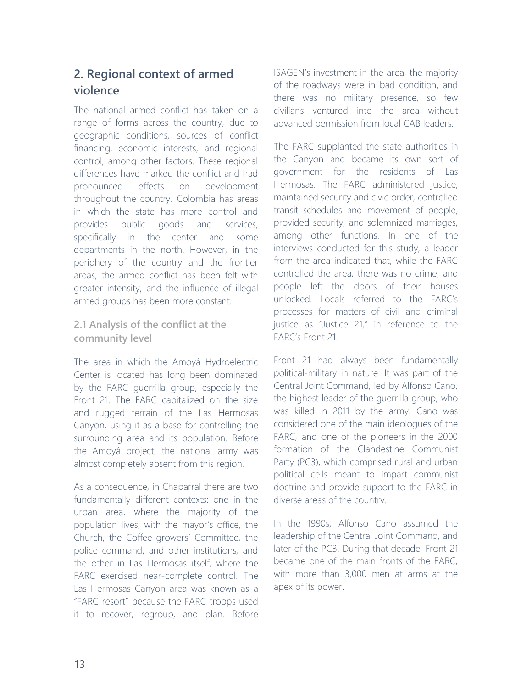# **2. Regional context of armed violence**

The national armed conflict has taken on a range of forms across the country, due to geographic conditions, sources of conflict financing, economic interests, and regional control, among other factors. These regional differences have marked the conflict and had pronounced effects on development throughout the country. Colombia has areas in which the state has more control and provides public goods and services, specifically in the center and some departments in the north. However, in the periphery of the country and the frontier areas, the armed conflict has been felt with greater intensity, and the influence of illegal armed groups has been more constant.

**2.1 Analysis of the conflict at the community level**

The area in which the Amoyá Hydroelectric Center is located has long been dominated by the FARC guerrilla group, especially the Front 21. The FARC capitalized on the size and rugged terrain of the Las Hermosas Canyon, using it as a base for controlling the surrounding area and its population. Before the Amoyá project, the national army was almost completely absent from this region.

As a consequence, in Chaparral there are two fundamentally different contexts: one in the urban area, where the majority of the population lives, with the mayor's office, the Church, the Coffee-growers' Committee, the police command, and other institutions; and the other in Las Hermosas itself, where the FARC exercised near-complete control. The Las Hermosas Canyon area was known as a "FARC resort" because the FARC troops used it to recover, regroup, and plan. Before ISAGEN's investment in the area, the majority of the roadways were in bad condition, and there was no military presence, so few civilians ventured into the area without advanced permission from local CAB leaders.

The FARC supplanted the state authorities in the Canyon and became its own sort of government for the residents of Las Hermosas. The FARC administered justice, maintained security and civic order, controlled transit schedules and movement of people, provided security, and solemnized marriages, among other functions. In one of the interviews conducted for this study, a leader from the area indicated that, while the FARC controlled the area, there was no crime, and people left the doors of their houses unlocked. Locals referred to the FARC's processes for matters of civil and criminal justice as "Justice 21," in reference to the FARC's Front 21.

Front 21 had always been fundamentally political-military in nature. It was part of the Central Joint Command, led by Alfonso Cano, the highest leader of the guerrilla group, who was killed in 2011 by the army. Cano was considered one of the main ideologues of the FARC, and one of the pioneers in the 2000 formation of the Clandestine Communist Party (PC3), which comprised rural and urban political cells meant to impart communist doctrine and provide support to the FARC in diverse areas of the country.

In the 1990s, Alfonso Cano assumed the leadership of the Central Joint Command, and later of the PC3. During that decade, Front 21 became one of the main fronts of the FARC, with more than 3,000 men at arms at the apex of its power.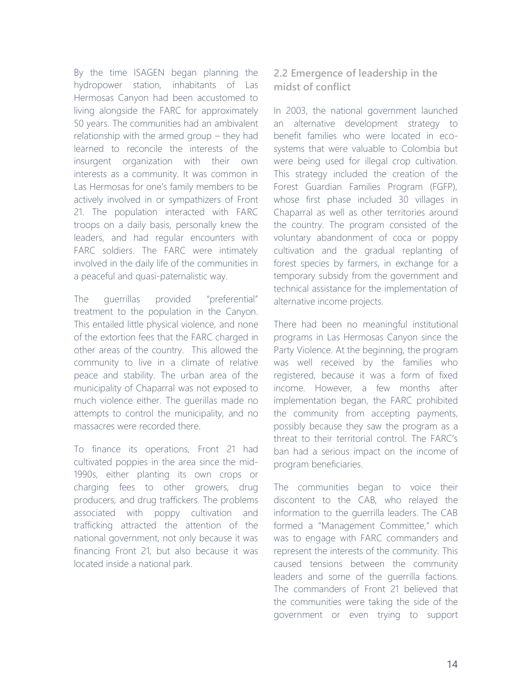By the time ISAGEN began planning the hydropower station, inhabitants of Las Hermosas Canyon had been accustomed to living alongside the FARC for approximately 50 years. The communities had an ambivalent relationship with the armed group – they had learned to reconcile the interests of the insurgent organization with their own interests as a community. It was common in Las Hermosas for one's family members to be actively involved in or sympathizers of Front 21. The population interacted with FARC troops on a daily basis, personally knew the leaders, and had regular encounters with FARC soldiers. The FARC were intimately involved in the daily life of the communities in a peaceful and quasi-paternalistic way.

The guerrillas provided "preferential" treatment to the population in the Canyon. This entailed little physical violence, and none of the extortion fees that the FARC charged in other areas of the country. This allowed the community to live in a climate of relative peace and stability. The urban area of the municipality of Chaparral was not exposed to much violence either. The guerillas made no attempts to control the municipality, and no massacres were recorded there.

To finance its operations, Front 21 had cultivated poppies in the area since the mid-1990s, either planting its own crops or charging fees to other growers, drug producers, and drug traffickers. The problems associated with poppy cultivation and trafficking attracted the attention of the national government, not only because it was financing Front 21, but also because it was located inside a national park.

### **2.2 Emergence of leadership in the midst of conflict**

In 2003, the national government launched an alternative development strategy to benefit families who were located in ecosystems that were valuable to Colombia but were being used for illegal crop cultivation. This strategy included the creation of the Forest Guardian Families Program (FGFP), whose first phase included 30 villages in Chaparral as well as other territories around the country. The program consisted of the voluntary abandonment of coca or poppy cultivation and the gradual replanting of forest species by farmers, in exchange for a temporary subsidy from the government and technical assistance for the implementation of alternative income projects.

There had been no meaningful institutional programs in Las Hermosas Canyon since the Party Violence. At the beginning, the program was well received by the families who registered, because it was a form of fixed income. However, a few months after implementation began, the FARC prohibited the community from accepting payments, possibly because they saw the program as a threat to their territorial control. The FARC's ban had a serious impact on the income of program beneficiaries.

The communities began to voice their discontent to the CAB, who relayed the information to the guerrilla leaders. The CAB formed a "Management Committee," which was to engage with FARC commanders and represent the interests of the community. This caused tensions between the community leaders and some of the guerrilla factions. The commanders of Front 21 believed that the communities were taking the side of the government or even trying to support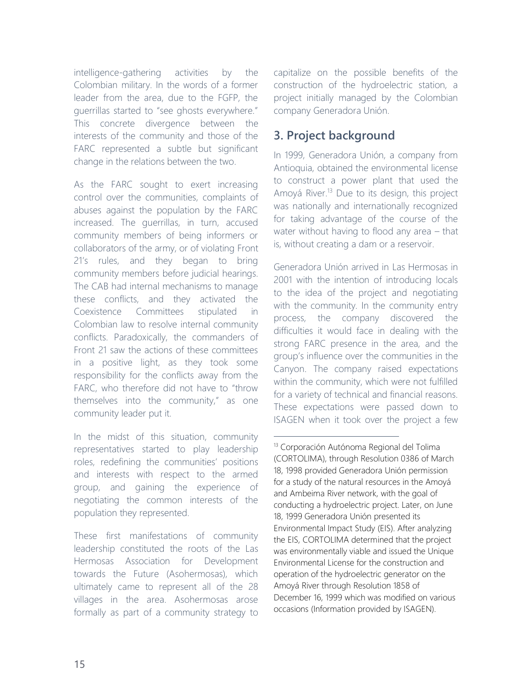intelligence-gathering activities by the Colombian military. In the words of a former leader from the area, due to the FGFP, the guerrillas started to "see ghosts everywhere." This concrete divergence between the interests of the community and those of the FARC represented a subtle but significant change in the relations between the two.

As the FARC sought to exert increasing control over the communities, complaints of abuses against the population by the FARC increased. The guerrillas, in turn, accused community members of being informers or collaborators of the army, or of violating Front 21's rules, and they began to bring community members before judicial hearings. The CAB had internal mechanisms to manage these conflicts, and they activated the Coexistence Committees stipulated in Colombian law to resolve internal community conflicts. Paradoxically, the commanders of Front 21 saw the actions of these committees in a positive light, as they took some responsibility for the conflicts away from the FARC, who therefore did not have to "throw themselves into the community," as one community leader put it.

In the midst of this situation, community representatives started to play leadership roles, redefining the communities' positions and interests with respect to the armed group, and gaining the experience of negotiating the common interests of the population they represented.

These first manifestations of community leadership constituted the roots of the Las Hermosas Association for Development towards the Future (Asohermosas), which ultimately came to represent all of the 28 villages in the area. Asohermosas arose formally as part of a community strategy to capitalize on the possible benefits of the construction of the hydroelectric station, a project initially managed by the Colombian company Generadora Unión.

## **3. Project background**

In 1999, Generadora Unión, a company from Antioquia, obtained the environmental license to construct a power plant that used the Amoyá River.<sup>13</sup> Due to its design, this project was nationally and internationally recognized for taking advantage of the course of the water without having to flood any area – that is, without creating a dam or a reservoir.

Generadora Unión arrived in Las Hermosas in 2001 with the intention of introducing locals to the idea of the project and negotiating with the community. In the community entry process, the company discovered the difficulties it would face in dealing with the strong FARC presence in the area, and the group's influence over the communities in the Canyon. The company raised expectations within the community, which were not fulfilled for a variety of technical and financial reasons. These expectations were passed down to ISAGEN when it took over the project a few

<sup>13</sup> Corporación Autónoma Regional del Tolima (CORTOLIMA), through Resolution 0386 of March 18, 1998 provided Generadora Unión permission for a study of the natural resources in the Amoyá and Ambeima River network, with the goal of conducting a hydroelectric project. Later, on June 18, 1999 Generadora Unión presented its Environmental Impact Study (EIS). After analyzing the EIS, CORTOLIMA determined that the project was environmentally viable and issued the Unique Environmental License for the construction and operation of the hydroelectric generator on the Amoyá River through Resolution 1858 of December 16, 1999 which was modified on various occasions (Information provided by ISAGEN).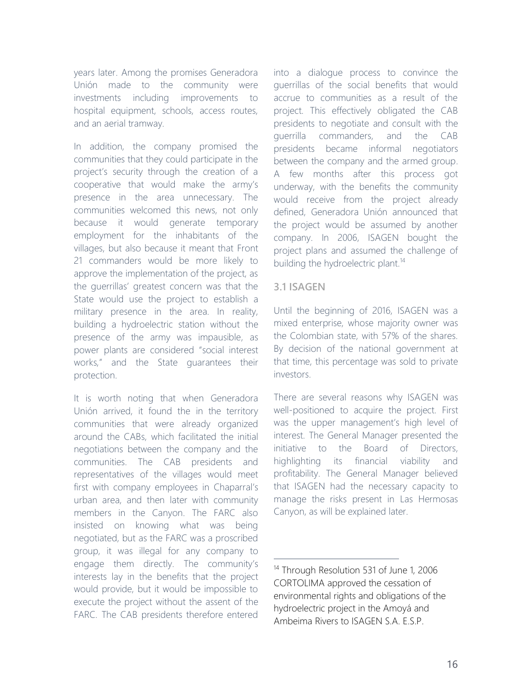years later. Among the promises Generadora Unión made to the community were investments including improvements to hospital equipment, schools, access routes, and an aerial tramway.

In addition, the company promised the communities that they could participate in the project's security through the creation of a cooperative that would make the army's presence in the area unnecessary. The communities welcomed this news, not only because it would generate temporary employment for the inhabitants of the villages, but also because it meant that Front 21 commanders would be more likely to approve the implementation of the project, as the guerrillas' greatest concern was that the State would use the project to establish a military presence in the area. In reality, building a hydroelectric station without the presence of the army was impausible, as power plants are considered "social interest works," and the State guarantees their protection.

It is worth noting that when Generadora Unión arrived, it found the in the territory communities that were already organized around the CABs, which facilitated the initial negotiations between the company and the communities. The CAB presidents and representatives of the villages would meet first with company employees in Chaparral's urban area, and then later with community members in the Canyon. The FARC also insisted on knowing what was being negotiated, but as the FARC was a proscribed group, it was illegal for any company to engage them directly. The community's interests lay in the benefits that the project would provide, but it would be impossible to execute the project without the assent of the FARC. The CAB presidents therefore entered into a dialogue process to convince the guerrillas of the social benefits that would accrue to communities as a result of the project. This effectively obligated the CAB presidents to negotiate and consult with the guerrilla commanders, and the CAB presidents became informal negotiators between the company and the armed group. A few months after this process got underway, with the benefits the community would receive from the project already defined, Generadora Unión announced that the project would be assumed by another company. In 2006, ISAGEN bought the project plans and assumed the challenge of building the hydroelectric plant.<sup>14</sup>

#### **3.1 ISAGEN**

 $\overline{a}$ 

Until the beginning of 2016, ISAGEN was a mixed enterprise, whose majority owner was the Colombian state, with 57% of the shares. By decision of the national government at that time, this percentage was sold to private investors.

There are several reasons why ISAGEN was well-positioned to acquire the project. First was the upper management's high level of interest. The General Manager presented the initiative to the Board of Directors, highlighting its financial viability and profitability. The General Manager believed that ISAGEN had the necessary capacity to manage the risks present in Las Hermosas Canyon, as will be explained later.

<sup>&</sup>lt;sup>14</sup> Through Resolution 531 of June 1, 2006 CORTOLIMA approved the cessation of environmental rights and obligations of the hydroelectric project in the Amoyá and Ambeima Rivers to ISAGEN S.A. E.S.P.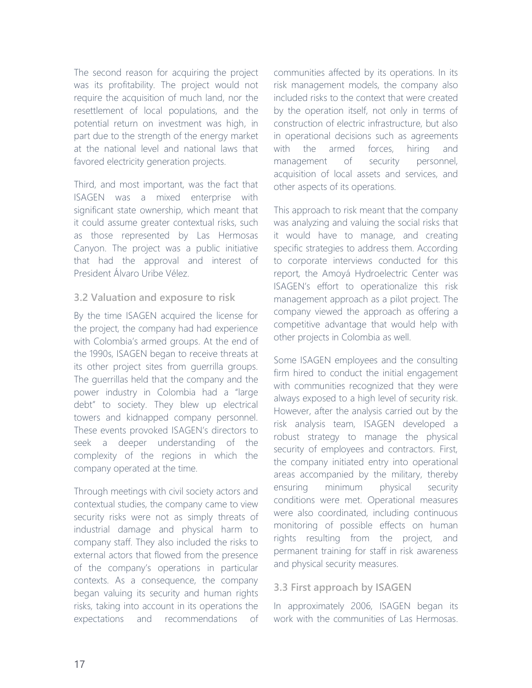The second reason for acquiring the project was its profitability. The project would not require the acquisition of much land, nor the resettlement of local populations, and the potential return on investment was high, in part due to the strength of the energy market at the national level and national laws that favored electricity generation projects.

Third, and most important, was the fact that ISAGEN was a mixed enterprise with significant state ownership, which meant that it could assume greater contextual risks, such as those represented by Las Hermosas Canyon. The project was a public initiative that had the approval and interest of President Álvaro Uribe Vélez.

### **3.2 Valuation and exposure to risk**

By the time ISAGEN acquired the license for the project, the company had had experience with Colombia's armed groups. At the end of the 1990s, ISAGEN began to receive threats at its other project sites from guerrilla groups. The guerrillas held that the company and the power industry in Colombia had a "large debt" to society. They blew up electrical towers and kidnapped company personnel. These events provoked ISAGEN's directors to seek a deeper understanding of the complexity of the regions in which the company operated at the time.

Through meetings with civil society actors and contextual studies, the company came to view security risks were not as simply threats of industrial damage and physical harm to company staff. They also included the risks to external actors that flowed from the presence of the company's operations in particular contexts. As a consequence, the company began valuing its security and human rights risks, taking into account in its operations the expectations and recommendations of communities affected by its operations. In its risk management models, the company also included risks to the context that were created by the operation itself, not only in terms of construction of electric infrastructure, but also in operational decisions such as agreements with the armed forces, hiring and management of security personnel, acquisition of local assets and services, and other aspects of its operations.

This approach to risk meant that the company was analyzing and valuing the social risks that it would have to manage, and creating specific strategies to address them. According to corporate interviews conducted for this report, the Amoyá Hydroelectric Center was ISAGEN's effort to operationalize this risk management approach as a pilot project. The company viewed the approach as offering a competitive advantage that would help with other projects in Colombia as well.

Some ISAGEN employees and the consulting firm hired to conduct the initial engagement with communities recognized that they were always exposed to a high level of security risk. However, after the analysis carried out by the risk analysis team, ISAGEN developed a robust strategy to manage the physical security of employees and contractors. First, the company initiated entry into operational areas accompanied by the military, thereby ensuring minimum physical security conditions were met. Operational measures were also coordinated, including continuous monitoring of possible effects on human rights resulting from the project, and permanent training for staff in risk awareness and physical security measures.

### **3.3 First approach by ISAGEN**

In approximately 2006, ISAGEN began its work with the communities of Las Hermosas.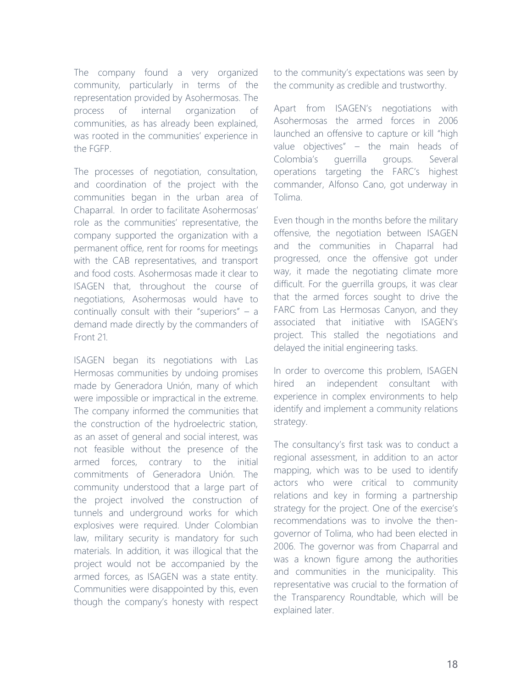The company found a very organized community, particularly in terms of the representation provided by Asohermosas. The process of internal organization of communities, as has already been explained, was rooted in the communities' experience in the FGFP.

The processes of negotiation, consultation, and coordination of the project with the communities began in the urban area of Chaparral. In order to facilitate Asohermosas' role as the communities' representative, the company supported the organization with a permanent office, rent for rooms for meetings with the CAB representatives, and transport and food costs. Asohermosas made it clear to ISAGEN that, throughout the course of negotiations, Asohermosas would have to continually consult with their "superiors" – a demand made directly by the commanders of Front 21.

ISAGEN began its negotiations with Las Hermosas communities by undoing promises made by Generadora Unión, many of which were impossible or impractical in the extreme. The company informed the communities that the construction of the hydroelectric station, as an asset of general and social interest, was not feasible without the presence of the armed forces, contrary to the initial commitments of Generadora Unión. The community understood that a large part of the project involved the construction of tunnels and underground works for which explosives were required. Under Colombian law, military security is mandatory for such materials. In addition, it was illogical that the project would not be accompanied by the armed forces, as ISAGEN was a state entity. Communities were disappointed by this, even though the company's honesty with respect to the community's expectations was seen by the community as credible and trustworthy.

Apart from ISAGEN's negotiations with Asohermosas the armed forces in 2006 launched an offensive to capture or kill "high value objectives" – the main heads of Colombia's guerrilla groups. Several operations targeting the FARC's highest commander, Alfonso Cano, got underway in Tolima.

Even though in the months before the military offensive, the negotiation between ISAGEN and the communities in Chaparral had progressed, once the offensive got under way, it made the negotiating climate more difficult. For the guerrilla groups, it was clear that the armed forces sought to drive the FARC from Las Hermosas Canyon, and they associated that initiative with ISAGEN's project. This stalled the negotiations and delayed the initial engineering tasks.

In order to overcome this problem, ISAGEN hired an independent consultant with experience in complex environments to help identify and implement a community relations strategy.

The consultancy's first task was to conduct a regional assessment, in addition to an actor mapping, which was to be used to identify actors who were critical to community relations and key in forming a partnership strategy for the project. One of the exercise's recommendations was to involve the thengovernor of Tolima, who had been elected in 2006. The governor was from Chaparral and was a known figure among the authorities and communities in the municipality. This representative was crucial to the formation of the Transparency Roundtable, which will be explained later.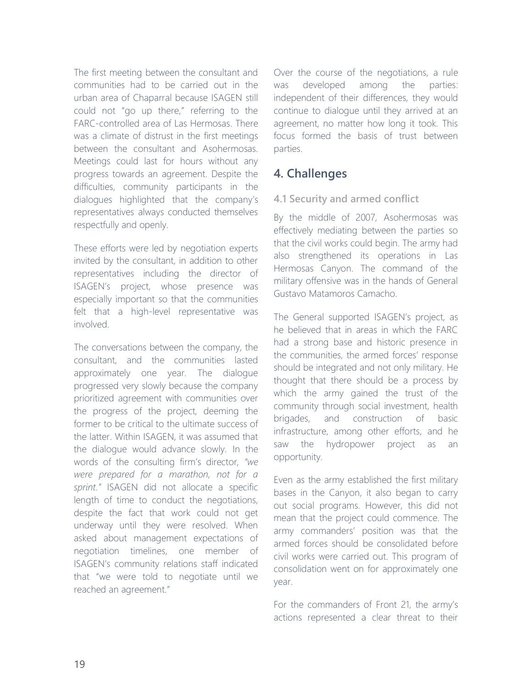The first meeting between the consultant and communities had to be carried out in the urban area of Chaparral because ISAGEN still could not "go up there," referring to the FARC-controlled area of Las Hermosas. There was a climate of distrust in the first meetings between the consultant and Asohermosas. Meetings could last for hours without any progress towards an agreement. Despite the difficulties, community participants in the dialogues highlighted that the company's representatives always conducted themselves respectfully and openly.

These efforts were led by negotiation experts invited by the consultant, in addition to other representatives including the director of ISAGEN's project, whose presence was especially important so that the communities felt that a high-level representative was involved.

The conversations between the company, the consultant, and the communities lasted approximately one year. The dialogue progressed very slowly because the company prioritized agreement with communities over the progress of the project, deeming the former to be critical to the ultimate success of the latter. Within ISAGEN, it was assumed that the dialogue would advance slowly. In the words of the consulting firm's director, *"we were prepared for a marathon, not for a sprint."* ISAGEN did not allocate a specific length of time to conduct the negotiations, despite the fact that work could not get underway until they were resolved. When asked about management expectations of negotiation timelines, one member of ISAGEN's community relations staff indicated that "we were told to negotiate until we reached an agreement."

Over the course of the negotiations, a rule was developed among the parties: independent of their differences, they would continue to dialogue until they arrived at an agreement, no matter how long it took. This focus formed the basis of trust between parties.

### **4. Challenges**

### **4.1 Security and armed conflict**

By the middle of 2007, Asohermosas was effectively mediating between the parties so that the civil works could begin. The army had also strengthened its operations in Las Hermosas Canyon. The command of the military offensive was in the hands of General Gustavo Matamoros Camacho.

The General supported ISAGEN's project, as he believed that in areas in which the FARC had a strong base and historic presence in the communities, the armed forces' response should be integrated and not only military. He thought that there should be a process by which the army gained the trust of the community through social investment, health brigades, and construction of basic infrastructure, among other efforts, and he saw the hydropower project as an opportunity.

Even as the army established the first military bases in the Canyon, it also began to carry out social programs. However, this did not mean that the project could commence. The army commanders' position was that the armed forces should be consolidated before civil works were carried out. This program of consolidation went on for approximately one year.

For the commanders of Front 21, the army's actions represented a clear threat to their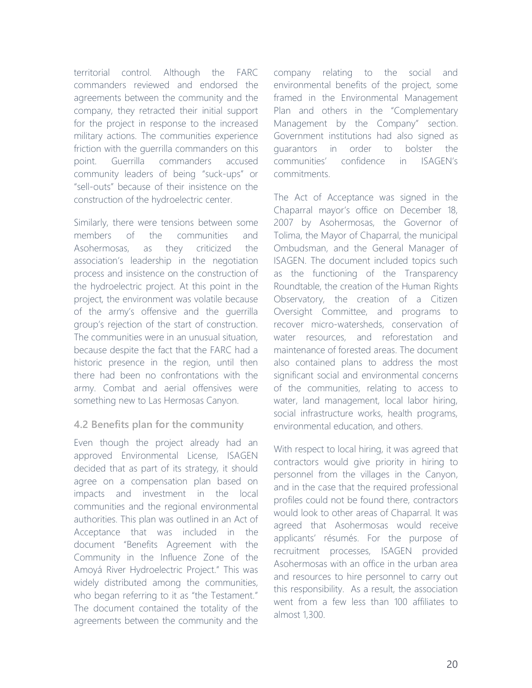territorial control. Although the FARC commanders reviewed and endorsed the agreements between the community and the company, they retracted their initial support for the project in response to the increased military actions. The communities experience friction with the guerrilla commanders on this point. Guerrilla commanders accused community leaders of being "suck-ups" or "sell-outs" because of their insistence on the construction of the hydroelectric center.

Similarly, there were tensions between some members of the communities and Asohermosas, as they criticized the association's leadership in the negotiation process and insistence on the construction of the hydroelectric project. At this point in the project, the environment was volatile because of the army's offensive and the guerrilla group's rejection of the start of construction. The communities were in an unusual situation, because despite the fact that the FARC had a historic presence in the region, until then there had been no confrontations with the army. Combat and aerial offensives were something new to Las Hermosas Canyon.

### **4.2 Benefits plan for the community**

Even though the project already had an approved Environmental License, ISAGEN decided that as part of its strategy, it should agree on a compensation plan based on impacts and investment in the local communities and the regional environmental authorities. This plan was outlined in an Act of Acceptance that was included in the document "Benefits Agreement with the Community in the Influence Zone of the Amoyá River Hydroelectric Project." This was widely distributed among the communities, who began referring to it as "the Testament." The document contained the totality of the agreements between the community and the

company relating to the social and environmental benefits of the project, some framed in the Environmental Management Plan and others in the "Complementary Management by the Company" section. Government institutions had also signed as guarantors in order to bolster the communities' confidence in ISAGEN's commitments.

The Act of Acceptance was signed in the Chaparral mayor's office on December 18, 2007 by Asohermosas, the Governor of Tolima, the Mayor of Chaparral, the municipal Ombudsman, and the General Manager of ISAGEN. The document included topics such as the functioning of the Transparency Roundtable, the creation of the Human Rights Observatory, the creation of a Citizen Oversight Committee, and programs to recover micro-watersheds, conservation of water resources, and reforestation and maintenance of forested areas. The document also contained plans to address the most significant social and environmental concerns of the communities, relating to access to water, land management, local labor hiring, social infrastructure works, health programs, environmental education, and others.

With respect to local hiring, it was agreed that contractors would give priority in hiring to personnel from the villages in the Canyon, and in the case that the required professional profiles could not be found there, contractors would look to other areas of Chaparral. It was agreed that Asohermosas would receive applicants' résumés. For the purpose of recruitment processes, ISAGEN provided Asohermosas with an office in the urban area and resources to hire personnel to carry out this responsibility. As a result, the association went from a few less than 100 affiliates to almost 1,300.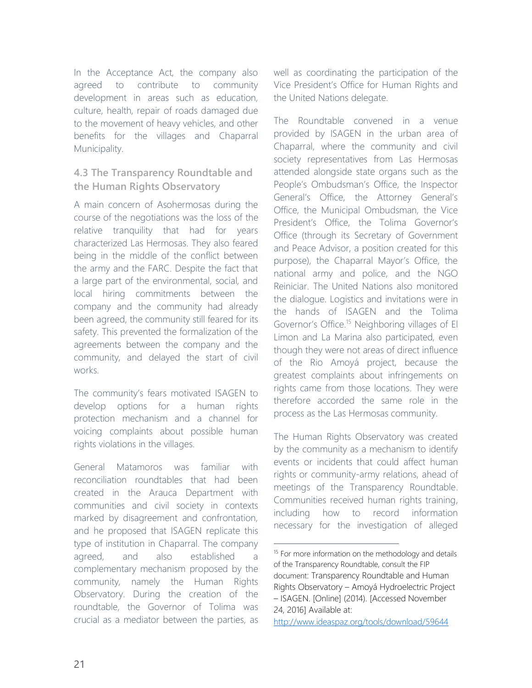In the Acceptance Act, the company also agreed to contribute to community development in areas such as education, culture, health, repair of roads damaged due to the movement of heavy vehicles, and other benefits for the villages and Chaparral Municipality.

### **4.3 The Transparency Roundtable and the Human Rights Observatory**

A main concern of Asohermosas during the course of the negotiations was the loss of the relative tranquility that had for years characterized Las Hermosas. They also feared being in the middle of the conflict between the army and the FARC. Despite the fact that a large part of the environmental, social, and local hiring commitments between the company and the community had already been agreed, the community still feared for its safety. This prevented the formalization of the agreements between the company and the community, and delayed the start of civil works.

The community's fears motivated ISAGEN to develop options for a human rights protection mechanism and a channel for voicing complaints about possible human rights violations in the villages.

General Matamoros was familiar with reconciliation roundtables that had been created in the Arauca Department with communities and civil society in contexts marked by disagreement and confrontation, and he proposed that ISAGEN replicate this type of institution in Chaparral. The company agreed, and also established a complementary mechanism proposed by the community, namely the Human Rights Observatory. During the creation of the roundtable, the Governor of Tolima was crucial as a mediator between the parties, as

well as coordinating the participation of the Vice President's Office for Human Rights and the United Nations delegate.

The Roundtable convened in a venue provided by ISAGEN in the urban area of Chaparral, where the community and civil society representatives from Las Hermosas attended alongside state organs such as the People's Ombudsman's Office, the Inspector General's Office, the Attorney General's Office, the Municipal Ombudsman, the Vice President's Office, the Tolima Governor's Office (through its Secretary of Government and Peace Advisor, a position created for this purpose), the Chaparral Mayor's Office, the national army and police, and the NGO Reiniciar. The United Nations also monitored the dialogue. Logistics and invitations were in the hands of ISAGEN and the Tolima Governor's Office.<sup>15</sup> Neighboring villages of El Limon and La Marina also participated, even though they were not areas of direct influence of the Rio Amoyá project, because the greatest complaints about infringements on rights came from those locations. They were therefore accorded the same role in the process as the Las Hermosas community.

The Human Rights Observatory was created by the community as a mechanism to identify events or incidents that could affect human rights or community-army relations, ahead of meetings of the Transparency Roundtable. Communities received human rights training, including how to record information necessary for the investigation of alleged

<sup>&</sup>lt;sup>15</sup> For more information on the methodology and details of the Transparency Roundtable, consult the FIP document: Transparency Roundtable and Human Rights Observatory – Amoyá Hydroelectric Project – ISAGEN. [Online] (2014). [Accessed November 24, 2016] Available at:

<http://www.ideaspaz.org/tools/download/59644>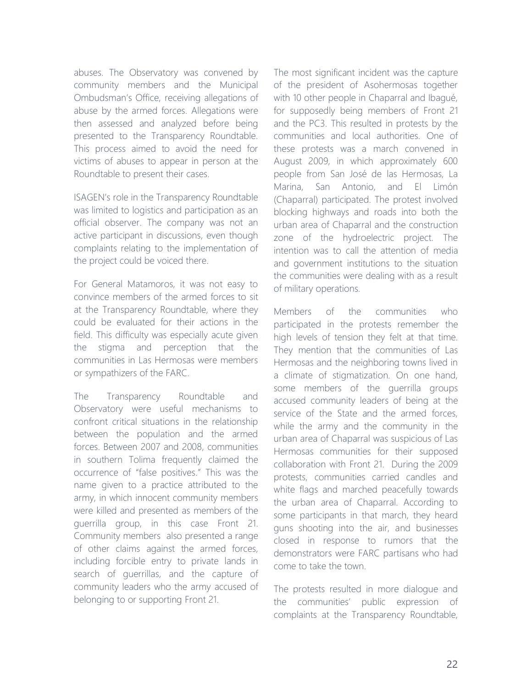abuses. The Observatory was convened by community members and the Municipal Ombudsman's Office, receiving allegations of abuse by the armed forces. Allegations were then assessed and analyzed before being presented to the Transparency Roundtable. This process aimed to avoid the need for victims of abuses to appear in person at the Roundtable to present their cases.

ISAGEN's role in the Transparency Roundtable was limited to logistics and participation as an official observer. The company was not an active participant in discussions, even though complaints relating to the implementation of the project could be voiced there.

For General Matamoros, it was not easy to convince members of the armed forces to sit at the Transparency Roundtable, where they could be evaluated for their actions in the field. This difficulty was especially acute given the stigma and perception that the communities in Las Hermosas were members or sympathizers of the FARC.

The Transparency Roundtable and Observatory were useful mechanisms to confront critical situations in the relationship between the population and the armed forces. Between 2007 and 2008, communities in southern Tolima frequently claimed the occurrence of "false positives." This was the name given to a practice attributed to the army, in which innocent community members were killed and presented as members of the guerrilla group, in this case Front 21. Community members also presented a range of other claims against the armed forces, including forcible entry to private lands in search of guerrillas, and the capture of community leaders who the army accused of belonging to or supporting Front 21.

The most significant incident was the capture of the president of Asohermosas together with 10 other people in Chaparral and Ibagué, for supposedly being members of Front 21 and the PC3. This resulted in protests by the communities and local authorities. One of these protests was a march convened in August 2009, in which approximately 600 people from San José de las Hermosas, La Marina, San Antonio, and El Limón (Chaparral) participated. The protest involved blocking highways and roads into both the urban area of Chaparral and the construction zone of the hydroelectric project. The intention was to call the attention of media and government institutions to the situation the communities were dealing with as a result of military operations.

Members of the communities who participated in the protests remember the high levels of tension they felt at that time. They mention that the communities of Las Hermosas and the neighboring towns lived in a climate of stigmatization. On one hand, some members of the guerrilla groups accused community leaders of being at the service of the State and the armed forces, while the army and the community in the urban area of Chaparral was suspicious of Las Hermosas communities for their supposed collaboration with Front 21. During the 2009 protests, communities carried candles and white flags and marched peacefully towards the urban area of Chaparral. According to some participants in that march, they heard guns shooting into the air, and businesses closed in response to rumors that the demonstrators were FARC partisans who had come to take the town.

The protests resulted in more dialogue and the communities' public expression of complaints at the Transparency Roundtable,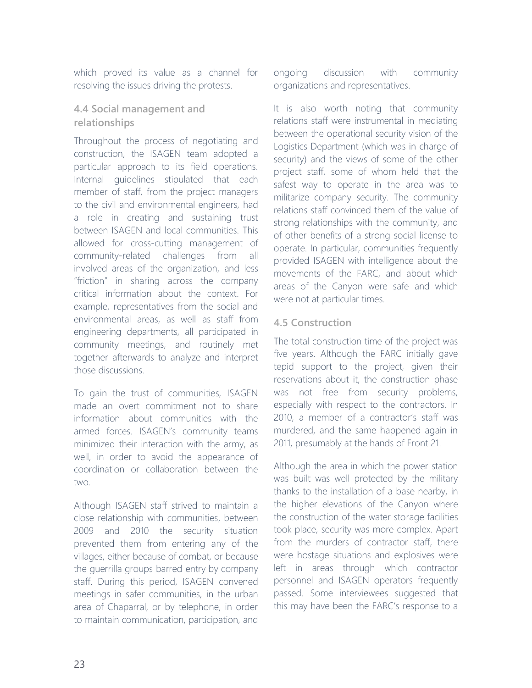which proved its value as a channel for resolving the issues driving the protests.

### **4.4 Social management and relationships**

Throughout the process of negotiating and construction, the ISAGEN team adopted a particular approach to its field operations. Internal guidelines stipulated that each member of staff, from the project managers to the civil and environmental engineers, had a role in creating and sustaining trust between ISAGEN and local communities. This allowed for cross-cutting management of community-related challenges from all involved areas of the organization, and less "friction" in sharing across the company critical information about the context. For example, representatives from the social and environmental areas, as well as staff from engineering departments, all participated in community meetings, and routinely met together afterwards to analyze and interpret those discussions.

To gain the trust of communities, ISAGEN made an overt commitment not to share information about communities with the armed forces. ISAGEN's community teams minimized their interaction with the army, as well, in order to avoid the appearance of coordination or collaboration between the two.

Although ISAGEN staff strived to maintain a close relationship with communities, between 2009 and 2010 the security situation prevented them from entering any of the villages, either because of combat, or because the guerrilla groups barred entry by company staff. During this period, ISAGEN convened meetings in safer communities, in the urban area of Chaparral, or by telephone, in order to maintain communication, participation, and

ongoing discussion with community organizations and representatives.

It is also worth noting that community relations staff were instrumental in mediating between the operational security vision of the Logistics Department (which was in charge of security) and the views of some of the other project staff, some of whom held that the safest way to operate in the area was to militarize company security. The community relations staff convinced them of the value of strong relationships with the community, and of other benefits of a strong social license to operate. In particular, communities frequently provided ISAGEN with intelligence about the movements of the FARC, and about which areas of the Canyon were safe and which were not at particular times.

### **4.5 Construction**

The total construction time of the project was five years. Although the FARC initially gave tepid support to the project, given their reservations about it, the construction phase was not free from security problems, especially with respect to the contractors. In 2010, a member of a contractor's staff was murdered, and the same happened again in 2011, presumably at the hands of Front 21.

Although the area in which the power station was built was well protected by the military thanks to the installation of a base nearby, in the higher elevations of the Canyon where the construction of the water storage facilities took place, security was more complex. Apart from the murders of contractor staff, there were hostage situations and explosives were left in areas through which contractor personnel and ISAGEN operators frequently passed. Some interviewees suggested that this may have been the FARC's response to a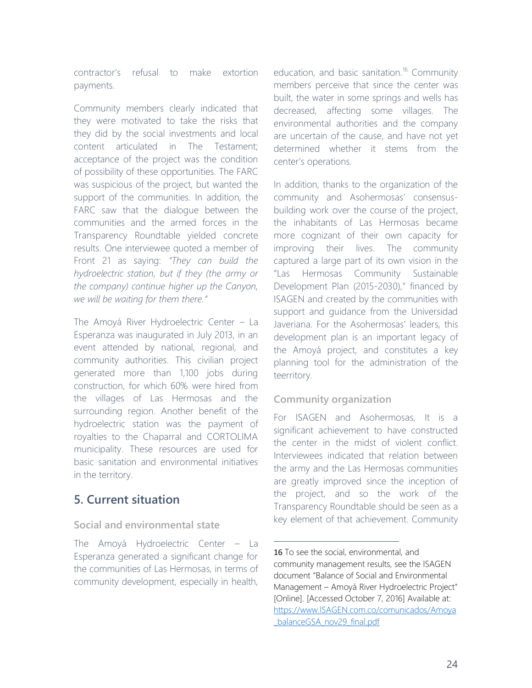contractor's refusal to make extortion payments.

Community members clearly indicated that they were motivated to take the risks that they did by the social investments and local content articulated in The Testament; acceptance of the project was the condition of possibility of these opportunities. The FARC was suspicious of the project, but wanted the support of the communities. In addition, the FARC saw that the dialogue between the communities and the armed forces in the Transparency Roundtable yielded concrete results. One interviewee quoted a member of Front 21 as saying: *"They can build the hydroelectric station, but if they (the army or the company) continue higher up the Canyon, we will be waiting for them there."* 

The Amoyá River Hydroelectric Center – La Esperanza was inaugurated in July 2013, in an event attended by national, regional, and community authorities. This civilian project generated more than 1,100 jobs during construction, for which 60% were hired from the villages of Las Hermosas and the surrounding region. Another benefit of the hydroelectric station was the payment of royalties to the Chaparral and CORTOLIMA municipality. These resources are used for basic sanitation and environmental initiatives in the territory.

### **5. Current situation**

### **Social and environmental state**

The Amoyá Hydroelectric Center – La Esperanza generated a significant change for the communities of Las Hermosas, in terms of community development, especially in health,

education, and basic sanitation.<sup>16</sup> Community members perceive that since the center was built, the water in some springs and wells has decreased, affecting some villages. The environmental authorities and the company are uncertain of the cause, and have not yet determined whether it stems from the center's operations.

In addition, thanks to the organization of the community and Asohermosas' consensusbuilding work over the course of the project, the inhabitants of Las Hermosas became more cognizant of their own capacity for improving their lives. The community captured a large part of its own vision in the "Las Hermosas Community Sustainable Development Plan (2015-2030)," financed by ISAGEN and created by the communities with support and guidance from the Universidad Javeriana. For the Asohermosas' leaders, this development plan is an important legacy of the Amoyá project, and constitutes a key planning tool for the administration of the teerritory.

### **Community organization**

 $\overline{a}$ 

For ISAGEN and Asohermosas, It is a significant achievement to have constructed the center in the midst of violent conflict. Interviewees indicated that relation between the army and the Las Hermosas communities are greatly improved since the inception of the project, and so the work of the Transparency Roundtable should be seen as a key element of that achievement. Community

<sup>16</sup> To see the social, environmental, and community management results, see the ISAGEN document "Balance of Social and Environmental Management – Amoyá River Hydroelectric Project" [Online]. [Accessed October 7, 2016] Available at: [https://www.ISAGEN.com.co/comunicados/Amoya](https://www.isagen.com.co/comunicados/Amoya_balanceGSA_nov29_final.pdf) [\\_balanceGSA\\_nov29\\_final.pdf](https://www.isagen.com.co/comunicados/Amoya_balanceGSA_nov29_final.pdf)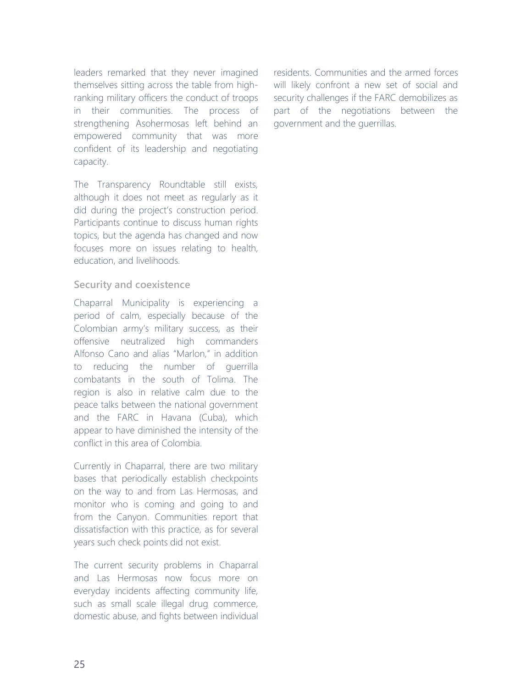leaders remarked that they never imagined themselves sitting across the table from highranking military officers the conduct of troops in their communities. The process of strengthening Asohermosas left behind an empowered community that was more confident of its leadership and negotiating capacity.

The Transparency Roundtable still exists, although it does not meet as regularly as it did during the project's construction period. Participants continue to discuss human rights topics, but the agenda has changed and now focuses more on issues relating to health, education, and livelihoods.

### **Security and coexistence**

Chaparral Municipality is experiencing a period of calm, especially because of the Colombian army's military success, as their offensive neutralized high commanders Alfonso Cano and alias "Marlon," in addition to reducing the number of guerrilla combatants in the south of Tolima. The region is also in relative calm due to the peace talks between the national government and the FARC in Havana (Cuba), which appear to have diminished the intensity of the conflict in this area of Colombia.

Currently in Chaparral, there are two military bases that periodically establish checkpoints on the way to and from Las Hermosas, and monitor who is coming and going to and from the Canyon. Communities report that dissatisfaction with this practice, as for several years such check points did not exist.

The current security problems in Chaparral and Las Hermosas now focus more on everyday incidents affecting community life, such as small scale illegal drug commerce, domestic abuse, and fights between individual residents. Communities and the armed forces will likely confront a new set of social and security challenges if the FARC demobilizes as part of the negotiations between the government and the guerrillas.